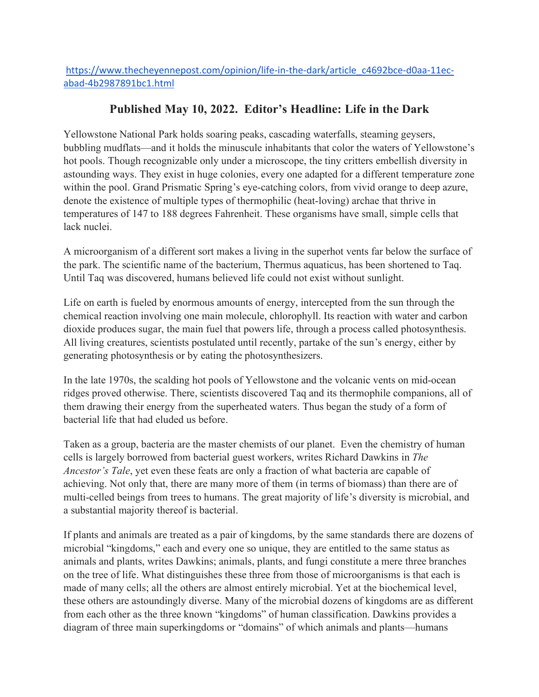## **Published May 10, 2022. Editor's Headline: Life in the Dark**

Yellowstone National Park holds soaring peaks, cascading waterfalls, steaming geysers, bubbling mudflats—and it holds the minuscule inhabitants that color the waters of Yellowstone's hot pools. Though recognizable only under a microscope, the tiny critters embellish diversity in astounding ways. They exist in huge colonies, every one adapted for a different temperature zone within the pool. Grand Prismatic Spring's eye-catching colors, from vivid orange to deep azure, denote the existence of multiple types of thermophilic (heat-loving) archae that thrive in temperatures of 147 to 188 degrees Fahrenheit. These organisms have small, simple cells that lack nuclei.

A microorganism of a different sort makes a living in the superhot vents far below the surface of the park. The scientific name of the bacterium, Thermus aquaticus, has been shortened to Taq. Until Taq was discovered, humans believed life could not exist without sunlight.

Life on earth is fueled by enormous amounts of energy, intercepted from the sun through the chemical reaction involving one main molecule, chlorophyll. Its reaction with water and carbon dioxide produces sugar, the main fuel that powers life, through a process called photosynthesis. All living creatures, scientists postulated until recently, partake of the sun's energy, either by generating photosynthesis or by eating the photosynthesizers.

In the late 1970s, the scalding hot pools of Yellowstone and the volcanic vents on mid-ocean ridges proved otherwise. There, scientists discovered Taq and its thermophile companions, all of them drawing their energy from the superheated waters. Thus began the study of a form of bacterial life that had eluded us before.

Taken as a group, bacteria are the master chemists of our planet. Even the chemistry of human cells is largely borrowed from bacterial guest workers, writes Richard Dawkins in *The Ancestor's Tale*, yet even these feats are only a fraction of what bacteria are capable of achieving. Not only that, there are many more of them (in terms of biomass) than there are of multi-celled beings from trees to humans. The great majority of life's diversity is microbial, and a substantial majority thereof is bacterial.

If plants and animals are treated as a pair of kingdoms, by the same standards there are dozens of microbial "kingdoms," each and every one so unique, they are entitled to the same status as animals and plants, writes Dawkins; animals, plants, and fungi constitute a mere three branches on the tree of life. What distinguishes these three from those of microorganisms is that each is made of many cells; all the others are almost entirely microbial. Yet at the biochemical level, these others are astoundingly diverse. Many of the microbial dozens of kingdoms are as different from each other as the three known "kingdoms" of human classification. Dawkins provides a diagram of three main superkingdoms or "domains" of which animals and plants—humans